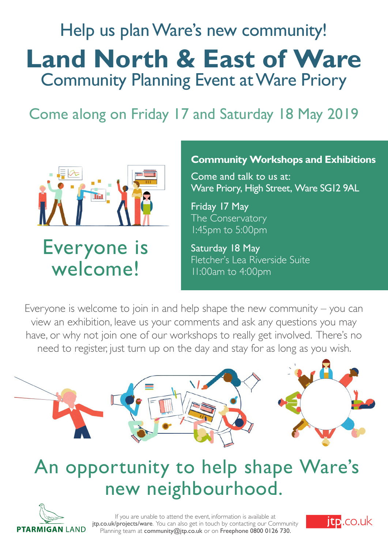## Help us plan Ware's new community! **Land North & East of Ware** Community Planning Event at Ware Priory

### Come along on Friday 17 and Saturday 18 May 2019



## Everyone is welcome!

### **Community Workshops and Exhibitions**

Come and talk to us at: Ware Priory, High Street, Ware SG12 9AL

Friday 17 May The Conservatory 1:45pm to 5:00pm

Saturday 18 May Fletcher's Lea Riverside Suite 11:00am to 4:00pm

Everyone is welcome to join in and help shape the new community – you can view an exhibition, leave us your comments and ask any questions you may have, or why not join one of our workshops to really get involved. There's no need to register, just turn up on the day and stay for as long as you wish.



## An opportunity to help shape Ware's new neighbourhood.



If you are unable to attend the event, information is available at jtp.co.uk/projects/ware. You can also get in touch by contacting our Community Planning team at community@jtp.co.uk or on Freephone 0800 0126 730.